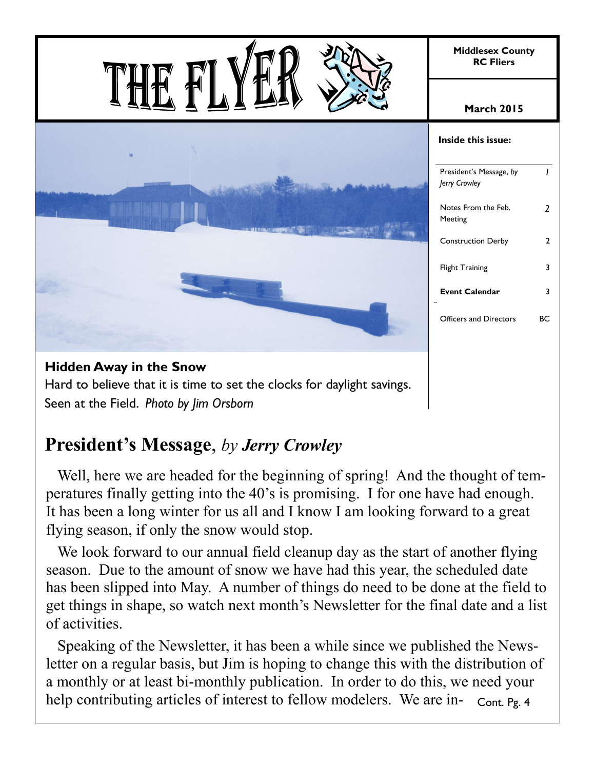

Seen at the Field. *Photo by Jim Orsborn*

# **President's Message**, *by Jerry Crowley*

 Well, here we are headed for the beginning of spring! And the thought of temperatures finally getting into the 40's is promising. I for one have had enough. It has been a long winter for us all and I know I am looking forward to a great flying season, if only the snow would stop.

 We look forward to our annual field cleanup day as the start of another flying season. Due to the amount of snow we have had this year, the scheduled date has been slipped into May. A number of things do need to be done at the field to get things in shape, so watch next month's Newsletter for the final date and a list of activities.

 Speaking of the Newsletter, it has been a while since we published the Newsletter on a regular basis, but Jim is hoping to change this with the distribution of a monthly or at least bi-monthly publication. In order to do this, we need your help contributing articles of interest to fellow modelers. We are in- Cont. Pg. 4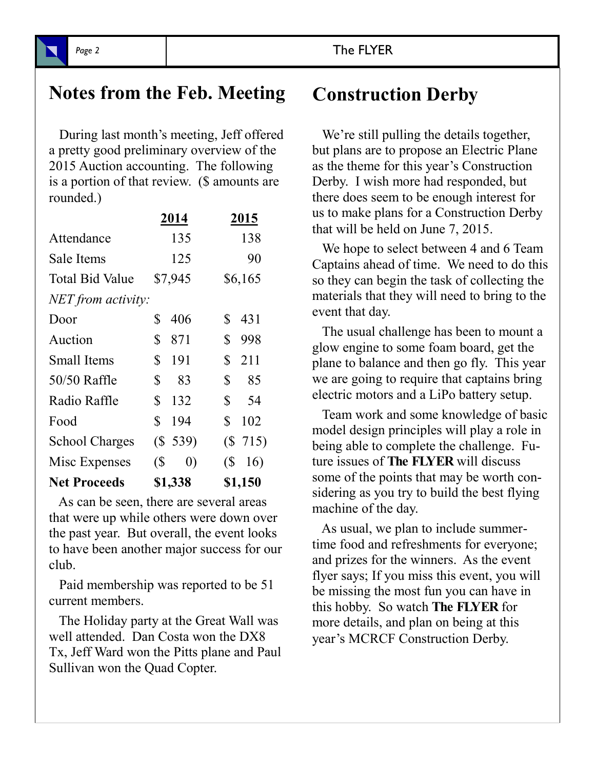## **Notes from the Feb. Meeting Construction Derby**

 During last month's meeting, Jeff offered a pretty good preliminary overview of the 2015 Auction accounting. The following is a portion of that review. (\$ amounts are rounded.)

|                       | 2014                            | 2015                  |
|-----------------------|---------------------------------|-----------------------|
| Attendance            | 135                             | 138                   |
| Sale Items            | 125                             | 90                    |
| Total Bid Value       | \$7,945                         | \$6,165               |
| NET from activity:    |                                 |                       |
| Door                  | 406<br>\$                       | \$<br>431             |
| Auction               | \$<br>871                       | \$<br>998             |
| <b>Small Items</b>    | \$<br>191                       | \$<br>211             |
| 50/50 Raffle          | \$<br>83                        | \$<br>85              |
| Radio Raffle          | \$<br>132                       | \$<br>54              |
| Food                  | \$<br>194                       | $\mathbb{S}^-$<br>102 |
| <b>School Charges</b> | (S 539)                         | (S 715)               |
| Misc Expenses         | $\sqrt{S}$<br>$\left( 0\right)$ | $\sqrt{S}$<br>16)     |
| <b>Net Proceeds</b>   | \$1,338                         | \$1,150               |

 As can be seen, there are several areas that were up while others were down over the past year. But overall, the event looks to have been another major success for our club.

 Paid membership was reported to be 51 current members.

 The Holiday party at the Great Wall was well attended. Dan Costa won the DX8 Tx, Jeff Ward won the Pitts plane and Paul Sullivan won the Quad Copter.

We're still pulling the details together, but plans are to propose an Electric Plane as the theme for this year's Construction Derby. I wish more had responded, but there does seem to be enough interest for us to make plans for a Construction Derby that will be held on June 7, 2015.

 We hope to select between 4 and 6 Team Captains ahead of time. We need to do this so they can begin the task of collecting the materials that they will need to bring to the event that day.

 The usual challenge has been to mount a glow engine to some foam board, get the plane to balance and then go fly. This year we are going to require that captains bring electric motors and a LiPo battery setup.

 Team work and some knowledge of basic model design principles will play a role in being able to complete the challenge. Future issues of **The FLYER** will discuss some of the points that may be worth considering as you try to build the best flying machine of the day.

 As usual, we plan to include summertime food and refreshments for everyone; and prizes for the winners. As the event flyer says; If you miss this event, you will be missing the most fun you can have in this hobby. So watch **The FLYER** for more details, and plan on being at this year's MCRCF Construction Derby.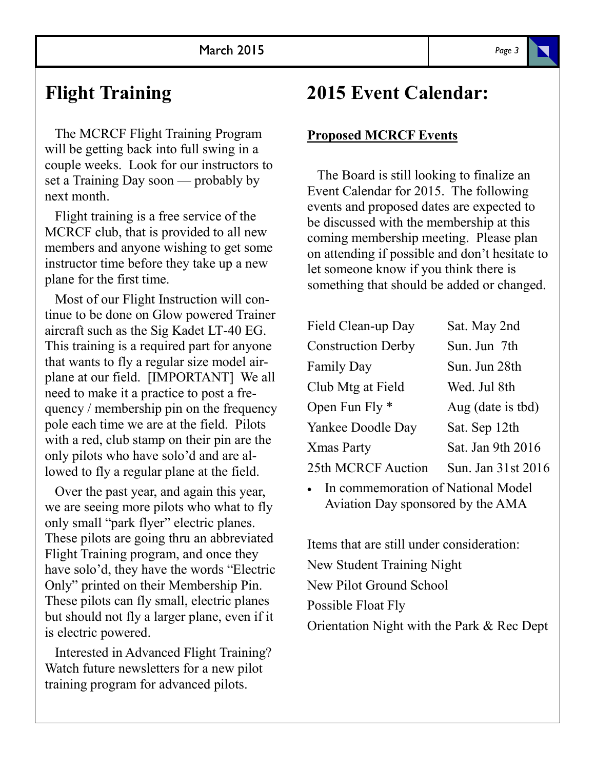## **Flight Training**

 The MCRCF Flight Training Program will be getting back into full swing in a couple weeks. Look for our instructors to set a Training Day soon — probably by next month.

 Flight training is a free service of the MCRCF club, that is provided to all new members and anyone wishing to get some instructor time before they take up a new plane for the first time.

 Most of our Flight Instruction will continue to be done on Glow powered Trainer aircraft such as the Sig Kadet LT-40 EG. This training is a required part for anyone that wants to fly a regular size model airplane at our field. [IMPORTANT] We all need to make it a practice to post a frequency / membership pin on the frequency pole each time we are at the field. Pilots with a red, club stamp on their pin are the only pilots who have solo'd and are allowed to fly a regular plane at the field.

 Over the past year, and again this year, we are seeing more pilots who what to fly only small "park flyer" electric planes. These pilots are going thru an abbreviated Flight Training program, and once they have solo'd, they have the words "Electric Only" printed on their Membership Pin. These pilots can fly small, electric planes but should not fly a larger plane, even if it is electric powered.

 Interested in Advanced Flight Training? Watch future newsletters for a new pilot training program for advanced pilots.

## **2015 Event Calendar:**

#### **Proposed MCRCF Events**

 The Board is still looking to finalize an Event Calendar for 2015. The following events and proposed dates are expected to be discussed with the membership at this coming membership meeting. Please plan on attending if possible and don't hesitate to let someone know if you think there is something that should be added or changed.

| Field Clean-up Day        | Sat. May 2nd       |
|---------------------------|--------------------|
| <b>Construction Derby</b> | Sun. Jun 7th       |
| <b>Family Day</b>         | Sun. Jun 28th      |
| Club Mtg at Field         | Wed. Jul 8th       |
| Open Fun Fly *            | Aug (date is tbd)  |
| Yankee Doodle Day         | Sat. Sep 12th      |
| Xmas Party                | Sat. Jan 9th 2016  |
| <b>25th MCRCF Auction</b> | Sun. Jan 31st 2016 |

 In commemoration of National Model Aviation Day sponsored by the AMA

Items that are still under consideration: New Student Training Night New Pilot Ground School Possible Float Fly Orientation Night with the Park & Rec Dept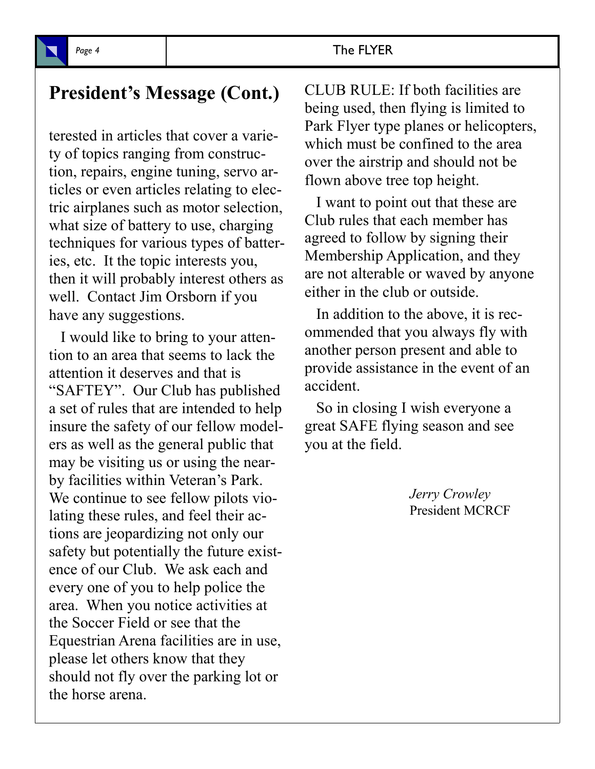#### Page 4 and **The FLYER**

### **President's Message (Cont.)**

terested in articles that cover a variety of topics ranging from construction, repairs, engine tuning, servo articles or even articles relating to electric airplanes such as motor selection, what size of battery to use, charging techniques for various types of batteries, etc. It the topic interests you, then it will probably interest others as well. Contact Jim Orsborn if you have any suggestions.

 I would like to bring to your attention to an area that seems to lack the attention it deserves and that is "SAFTEY". Our Club has published a set of rules that are intended to help insure the safety of our fellow modelers as well as the general public that may be visiting us or using the nearby facilities within Veteran's Park. We continue to see fellow pilots violating these rules, and feel their actions are jeopardizing not only our safety but potentially the future existence of our Club. We ask each and every one of you to help police the area. When you notice activities at the Soccer Field or see that the Equestrian Arena facilities are in use, please let others know that they should not fly over the parking lot or the horse arena.

CLUB RULE: If both facilities are being used, then flying is limited to Park Flyer type planes or helicopters, which must be confined to the area over the airstrip and should not be flown above tree top height.

 I want to point out that these are Club rules that each member has agreed to follow by signing their Membership Application, and they are not alterable or waved by anyone either in the club or outside.

 In addition to the above, it is recommended that you always fly with another person present and able to provide assistance in the event of an accident.

 So in closing I wish everyone a great SAFE flying season and see you at the field.

> *Jerry Crowley* President MCRCF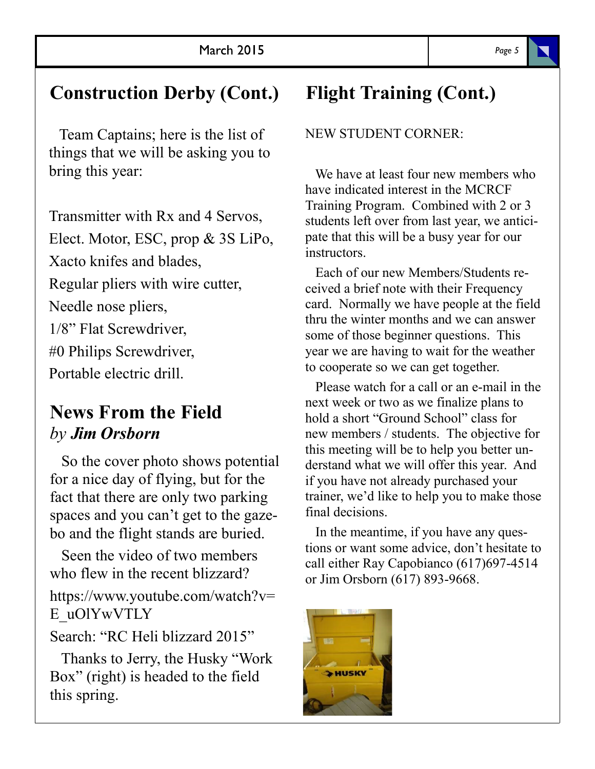# **Construction Derby (Cont.)**

 Team Captains; here is the list of things that we will be asking you to bring this year:

Transmitter with Rx and 4 Servos, Elect. Motor, ESC, prop & 3S LiPo, Xacto knifes and blades, Regular pliers with wire cutter, Needle nose pliers, 1/8" Flat Screwdriver, #0 Philips Screwdriver, Portable electric drill.

## **News From the Field** *by Jim Orsborn*

 So the cover photo shows potential for a nice day of flying, but for the fact that there are only two parking spaces and you can't get to the gazebo and the flight stands are buried.

 Seen the video of two members who flew in the recent blizzard? https://www.youtube.com/watch?v= E\_uOlYwVTLY

Search: "RC Heli blizzard 2015"

 Thanks to Jerry, the Husky "Work Box" (right) is headed to the field this spring.

# **Flight Training (Cont.)**

NEW STUDENT CORNER:

 We have at least four new members who have indicated interest in the MCRCF Training Program. Combined with 2 or 3 students left over from last year, we anticipate that this will be a busy year for our instructors.

 Each of our new Members/Students received a brief note with their Frequency card. Normally we have people at the field thru the winter months and we can answer some of those beginner questions. This year we are having to wait for the weather to cooperate so we can get together.

 Please watch for a call or an e-mail in the next week or two as we finalize plans to hold a short "Ground School" class for new members / students. The objective for this meeting will be to help you better understand what we will offer this year. And if you have not already purchased your trainer, we'd like to help you to make those final decisions.

 In the meantime, if you have any questions or want some advice, don't hesitate to call either Ray Capobianco (617)697-4514 or Jim Orsborn (617) 893-9668.